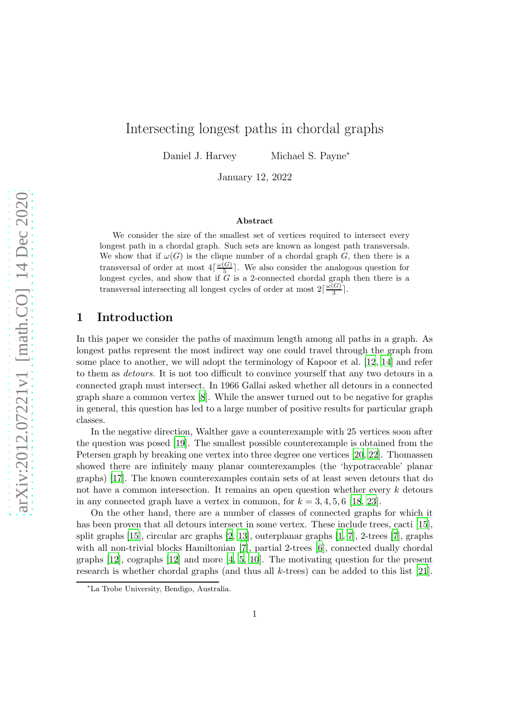# Intersecting longest paths in chordal graphs

Daniel J. Harvey Michael S. Payne<sup>∗</sup>

January 12, 2022

#### Abstract

We consider the size of the smallest set of vertices required to intersect every longest path in a chordal graph. Such sets are known as longest path transversals. We show that if  $\omega(G)$  is the clique number of a chordal graph G, then there is a transversal of order at most  $4\lceil \frac{\omega(G)}{5} \rceil$ . We also consider the analogous question for longest cycles, and show that if G is a 2-connected chordal graph then there is a transversal intersecting all longest cycles of order at most  $2\lceil \frac{\omega(G)}{3} \rceil$  $\frac{\left(\frac{G}{2}\right)}{3}$ .

#### 1 Introduction

In this paper we consider the paths of maximum length among all paths in a graph. As longest paths represent the most indirect way one could travel through the graph from some place to another, we will adopt the terminology of Kapoor et al. [\[12](#page-10-0), [14\]](#page-10-1) and refer to them as *detours*. It is not too difficult to convince yourself that any two detours in a connected graph must intersect. In 1966 Gallai asked whether all detours in a connected graph share a common vertex [\[8](#page-9-0)]. While the answer turned out to be negative for graphs in general, this question has led to a large number of positive results for particular graph classes.

In the negative direction, Walther gave a counterexample with 25 vertices soon after the question was posed [\[19](#page-10-2)]. The smallest possible counterexample is obtained from the Petersen graph by breaking one vertex into three degree one vertices [\[20](#page-10-3), [22\]](#page-10-4). Thomassen showed there are infinitely many planar counterexamples (the 'hypotraceable' planar graphs) [\[17](#page-10-5)]. The known counterexamples contain sets of at least seven detours that do not have a common intersection. It remains an open question whether every k detours in any connected graph have a vertex in common, for  $k = 3, 4, 5, 6$  [\[18](#page-10-6), [23\]](#page-10-7).

On the other hand, there are a number of classes of connected graphs for which it has been proven that all detours intersect in some vertex. These include trees, cacti [\[15\]](#page-10-8), split graphs [\[15](#page-10-8)], circular arc graphs [\[2,](#page-9-1) [13](#page-10-9)], outerplanar graphs [\[1](#page-9-2), [7](#page-9-3)], 2-trees [\[7](#page-9-3)], graphs with all non-trivial blocks Hamiltonian [\[7](#page-9-3)], partial 2-trees [\[6](#page-9-4)], connected dually chordal graphs [\[12\]](#page-10-0), cographs [\[12](#page-10-0)] and more [\[4,](#page-9-5) [5](#page-9-6), [10\]](#page-10-10). The motivating question for the present research is whether chordal graphs (and thus all k-trees) can be added to this list [\[21\]](#page-10-11).

<sup>∗</sup>La Trobe University, Bendigo, Australia.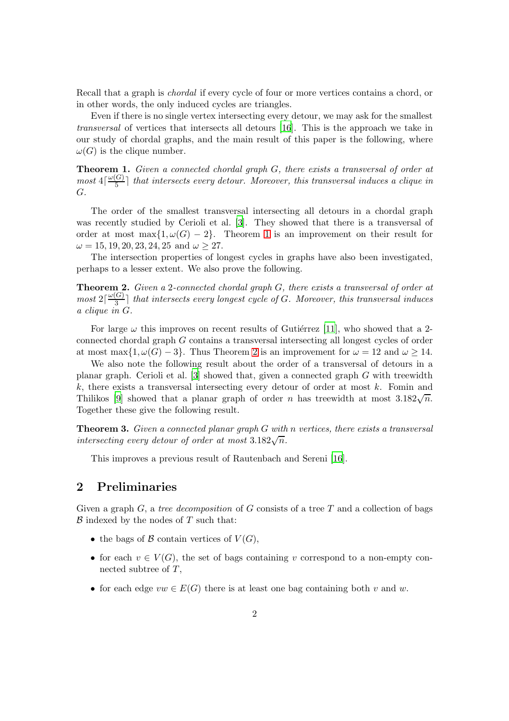Recall that a graph is *chordal* if every cycle of four or more vertices contains a chord, or in other words, the only induced cycles are triangles.

Even if there is no single vertex intersecting every detour, we may ask for the smallest *transversal* of vertices that intersects all detours [\[16](#page-10-12)]. This is the approach we take in our study of chordal graphs, and the main result of this paper is the following, where  $\omega(G)$  is the clique number.

<span id="page-1-0"></span>Theorem 1. *Given a connected chordal graph* G*, there exists a transversal of order at*  $most \ 4\lceil \frac{\omega(G)}{5} \rceil$  $\frac{G}{5}$  that intersects every detour. Moreover, this transversal induces a clique in G*.*

The order of the smallest transversal intersecting all detours in a chordal graph was recently studied by Cerioli et al. [\[3](#page-9-7)]. They showed that there is a transversal of order at most max $\{1, \omega(G) - 2\}$ . Theorem [1](#page-1-0) is an improvement on their result for  $\omega = 15, 19, 20, 23, 24, 25 \text{ and } \omega \geq 27.$ 

The intersection properties of longest cycles in graphs have also been investigated, perhaps to a lesser extent. We also prove the following.

<span id="page-1-1"></span>Theorem 2. *Given a* 2*-connected chordal graph* G*, there exists a transversal of order at*  $most 2\lceil \frac{\omega(G)}{3} \rceil$ 3 ⌉ *that intersects every longest cycle of* G*. Moreover, this transversal induces a clique in* G*.*

For large  $\omega$  this improves on recent results of Gutiérrez [\[11\]](#page-10-13), who showed that a 2connected chordal graph G contains a transversal intersecting all longest cycles of order at most max $\{1, \omega(G) - 3\}$ . Thus Theorem [2](#page-1-1) is an improvement for  $\omega = 12$  and  $\omega \ge 14$ .

We also note the following result about the order of a transversal of detours in a planar graph. Cerioli et al.  $[3]$  showed that, given a connected graph G with treewidth  $k$ , there exists a transversal intersecting every detour of order at most  $k$ . Fomin and Thilikos [\[9](#page-10-14)] showed that a planar graph of order n has treewidth at most  $3.182\sqrt{n}$ . Together these give the following result.

Theorem 3. *Given a connected planar graph* G *with* n *vertices, there exists a transversal intersecting every detour of order at most*  $3.182\sqrt{n}$ .

This improves a previous result of Rautenbach and Sereni [\[16](#page-10-12)].

### 2 Preliminaries

Given a graph G, a *tree decomposition* of G consists of a tree T and a collection of bags  $\beta$  indexed by the nodes of T such that:

- the bags of  $\mathcal B$  contain vertices of  $V(G)$ ,
- for each  $v \in V(G)$ , the set of bags containing v correspond to a non-empty connected subtree of T,
- for each edge  $vw \in E(G)$  there is at least one bag containing both v and w.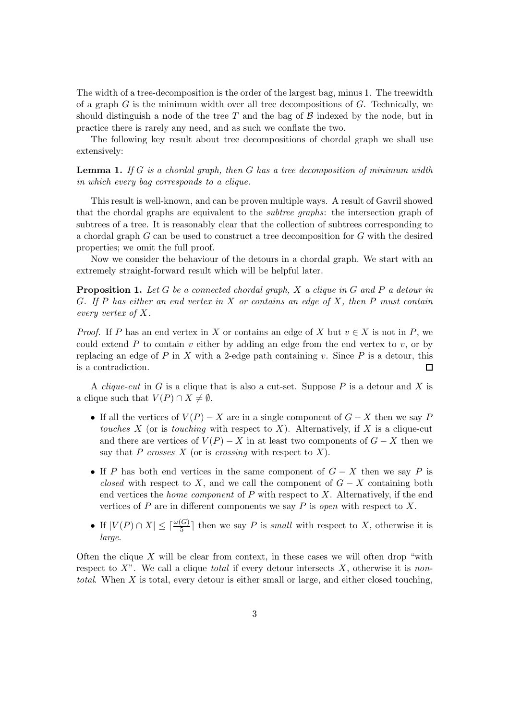The width of a tree-decomposition is the order of the largest bag, minus 1. The treewidth of a graph  $G$  is the minimum width over all tree decompositions of  $G$ . Technically, we should distinguish a node of the tree  $T$  and the bag of  $\beta$  indexed by the node, but in practice there is rarely any need, and as such we conflate the two.

The following key result about tree decompositions of chordal graph we shall use extensively:

<span id="page-2-0"></span>Lemma 1. *If* G *is a chordal graph, then* G *has a tree decomposition of minimum width in which every bag corresponds to a clique.*

This result is well-known, and can be proven multiple ways. A result of Gavril showed that the chordal graphs are equivalent to the *subtree graphs*: the intersection graph of subtrees of a tree. It is reasonably clear that the collection of subtrees corresponding to a chordal graph G can be used to construct a tree decomposition for G with the desired properties; we omit the full proof.

Now we consider the behaviour of the detours in a chordal graph. We start with an extremely straight-forward result which will be helpful later.

<span id="page-2-1"></span>Proposition 1. *Let* G *be a connected chordal graph,* X *a clique in* G *and* P *a detour in* G*. If* P *has either an end vertex in* X *or contains an edge of* X*, then* P *must contain every vertex of* X*.*

*Proof.* If P has an end vertex in X or contains an edge of X but  $v \in X$  is not in P, we could extend  $P$  to contain  $v$  either by adding an edge from the end vertex to  $v$ , or by replacing an edge of P in X with a 2-edge path containing v. Since P is a detour, this is a contradiction.  $\Box$ 

A *clique-cut* in G is a clique that is also a cut-set. Suppose P is a detour and X is a clique such that  $V(P) \cap X \neq \emptyset$ .

- If all the vertices of  $V(P) X$  are in a single component of  $G X$  then we say P *touches*  $X$  (or is *touching* with respect to  $X$ ). Alternatively, if  $X$  is a clique-cut and there are vertices of  $V(P) - X$  in at least two components of  $G - X$  then we say that P *crosses* X (or is *crossing* with respect to X).
- If P has both end vertices in the same component of  $G X$  then we say P is *closed* with respect to X, and we call the component of  $G - X$  containing both end vertices the *home component* of P with respect to X. Alternatively, if the end vertices of P are in different components we say P is *open* with respect to X.
- If  $|V(P) \cap X| \leq \lceil \frac{\omega(G)}{5} \rceil$  then we say P is *small* with respect to X, otherwise it is *large*.

Often the clique  $X$  will be clear from context, in these cases we will often drop "with" respect to X". We call a clique *total* if every detour intersects X, otherwise it is *nontotal*. When X is total, every detour is either small or large, and either closed touching,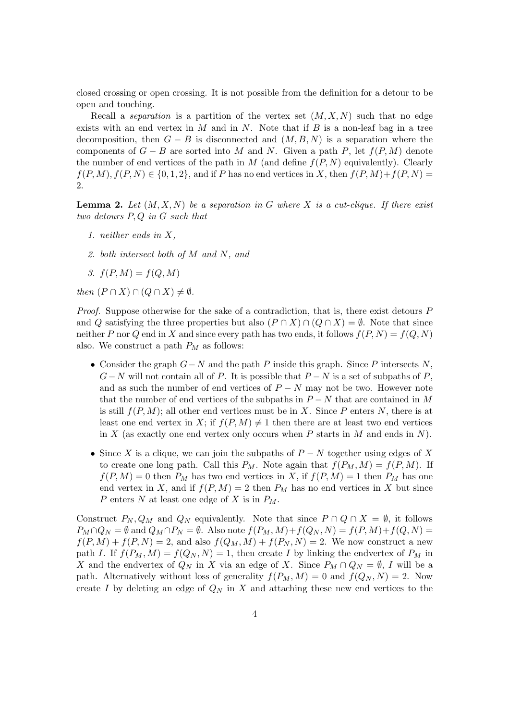closed crossing or open crossing. It is not possible from the definition for a detour to be open and touching.

Recall a *separation* is a partition of the vertex set  $(M, X, N)$  such that no edge exists with an end vertex in  $M$  and in  $N$ . Note that if  $B$  is a non-leaf bag in a tree decomposition, then  $G - B$  is disconnected and  $(M, B, N)$  is a separation where the components of  $G - B$  are sorted into M and N. Given a path P, let  $f(P, M)$  denote the number of end vertices of the path in M (and define  $f(P, N)$  equivalently). Clearly  $f(P, M)$ ,  $f(P, N) \in \{0, 1, 2\}$ , and if P has no end vertices in X, then  $f(P, M) + f(P, N) =$ 2.

<span id="page-3-0"></span>Lemma 2. *Let* (M, X, N) *be a separation in* G *where* X *is a cut-clique. If there exist two detours* P, Q *in* G *such that*

- *1. neither ends in* X*,*
- *2. both intersect both of* M *and* N*, and*
- 3.  $f(P, M) = f(Q, M)$

*then*  $(P \cap X) \cap (Q \cap X) \neq \emptyset$ *.* 

*Proof.* Suppose otherwise for the sake of a contradiction, that is, there exist detours P and Q satisfying the three properties but also  $(P \cap X) \cap (Q \cap X) = \emptyset$ . Note that since neither P nor Q end in X and since every path has two ends, it follows  $f(P, N) = f(Q, N)$ also. We construct a path  $P_M$  as follows:

- Consider the graph  $G-N$  and the path P inside this graph. Since P intersects N,  $G-N$  will not contain all of P. It is possible that  $P-N$  is a set of subpaths of P, and as such the number of end vertices of  $P - N$  may not be two. However note that the number of end vertices of the subpaths in  $P - N$  that are contained in M is still  $f(P, M)$ ; all other end vertices must be in X. Since P enters N, there is at least one end vertex in X; if  $f(P, M) \neq 1$  then there are at least two end vertices in X (as exactly one end vertex only occurs when P starts in M and ends in N).
- Since X is a clique, we can join the subpaths of  $P N$  together using edges of X to create one long path. Call this  $P_M$ . Note again that  $f(P_M, M) = f(P, M)$ . If  $f(P, M) = 0$  then  $P_M$  has two end vertices in X, if  $f(P, M) = 1$  then  $P_M$  has one end vertex in X, and if  $f(P, M) = 2$  then  $P_M$  has no end vertices in X but since P enters N at least one edge of X is in  $P_M$ .

Construct  $P_N, Q_M$  and  $Q_N$  equivalently. Note that since  $P \cap Q \cap X = \emptyset$ , it follows  $P_M \cap Q_N = \emptyset$  and  $Q_M \cap P_N = \emptyset$ . Also note  $f(P_M, M) + f(Q_N, N) = f(P, M) + f(Q, N) =$  $f(P, M) + f(P, N) = 2$ , and also  $f(Q_M, M) + f(P_N, N) = 2$ . We now construct a new path I. If  $f(P_M, M) = f(Q_N, N) = 1$ , then create I by linking the endvertex of  $P_M$  in X and the endvertex of  $Q_N$  in X via an edge of X. Since  $P_M \cap Q_N = \emptyset$ , I will be a path. Alternatively without loss of generality  $f(P_M, M) = 0$  and  $f(Q_N, N) = 2$ . Now create I by deleting an edge of  $Q_N$  in X and attaching these new end vertices to the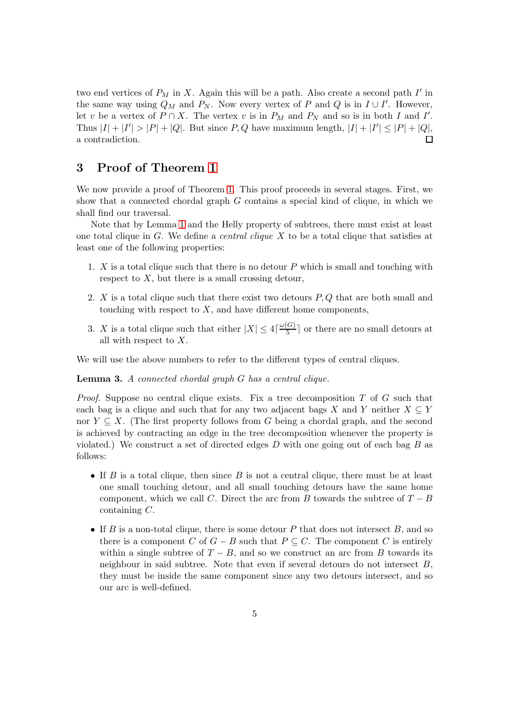two end vertices of  $P_M$  in X. Again this will be a path. Also create a second path  $I'$  in the same way using  $Q_M$  and  $P_N$ . Now every vertex of P and Q is in  $I \cup I'$ . However, let v be a vertex of  $P \cap X$ . The vertex v is in  $P_M$  and  $P_N$  and so is in both I and I'. Thus  $|I| + |I'| > |P| + |Q|$ . But since  $P, Q$  have maximum length,  $|I| + |I'| \leq |P| + |Q|$ , a contradiction.

## 3 Proof of Theorem [1](#page-1-0)

We now provide a proof of Theorem [1.](#page-1-0) This proof proceeds in several stages. First, we show that a connected chordal graph  $G$  contains a special kind of clique, in which we shall find our traversal.

Note that by Lemma [1](#page-2-0) and the Helly property of subtrees, there must exist at least one total clique in G. We define a *central clique* X to be a total clique that satisfies at least one of the following properties:

- 1.  $X$  is a total clique such that there is no detour  $P$  which is small and touching with respect to  $X$ , but there is a small crossing detour,
- 2.  $X$  is a total clique such that there exist two detours  $P, Q$  that are both small and touching with respect to  $X$ , and have different home components,
- 3. X is a total clique such that either  $|X| \leq 4 \lceil \frac{\omega(G)}{5} \rceil$  $\frac{G}{5}$  or there are no small detours at all with respect to X.

We will use the above numbers to refer to the different types of central cliques.

<span id="page-4-0"></span>Lemma 3. *A connected chordal graph* G *has a central clique.*

*Proof.* Suppose no central clique exists. Fix a tree decomposition T of G such that each bag is a clique and such that for any two adjacent bags X and Y neither  $X \subseteq Y$ nor  $Y \subseteq X$ . (The first property follows from G being a chordal graph, and the second is achieved by contracting an edge in the tree decomposition whenever the property is violated.) We construct a set of directed edges  $D$  with one going out of each bag  $B$  as follows:

- If B is a total clique, then since B is not a central clique, there must be at least one small touching detour, and all small touching detours have the same home component, which we call C. Direct the arc from B towards the subtree of  $T - B$ containing C.
- If B is a non-total clique, there is some detour P that does not intersect B, and so there is a component C of  $G - B$  such that  $P \subseteq C$ . The component C is entirely within a single subtree of  $T - B$ , and so we construct an arc from B towards its neighbour in said subtree. Note that even if several detours do not intersect B, they must be inside the same component since any two detours intersect, and so our arc is well-defined.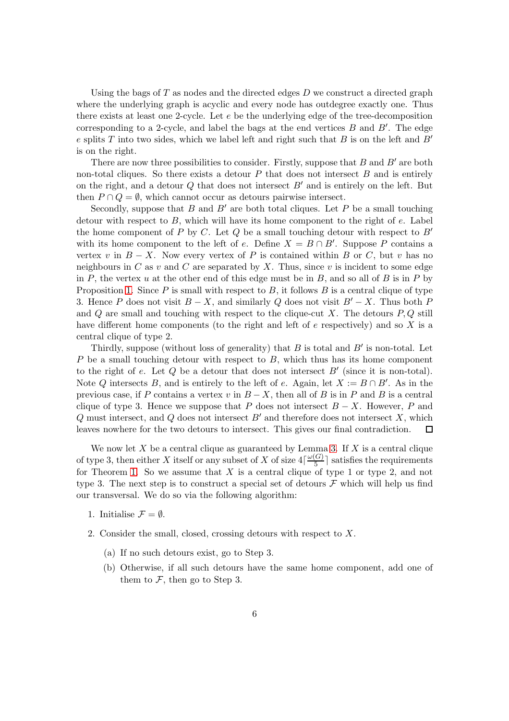Using the bags of  $T$  as nodes and the directed edges  $D$  we construct a directed graph where the underlying graph is acyclic and every node has outdegree exactly one. Thus there exists at least one 2-cycle. Let  $e$  be the underlying edge of the tree-decomposition corresponding to a 2-cycle, and label the bags at the end vertices  $B$  and  $B'$ . The edge e splits T into two sides, which we label left and right such that B is on the left and  $B'$ is on the right.

There are now three possibilities to consider. Firstly, suppose that  $B$  and  $B'$  are both non-total cliques. So there exists a detour  $P$  that does not intersect  $B$  and is entirely on the right, and a detour  $Q$  that does not intersect  $B'$  and is entirely on the left. But then  $P \cap Q = \emptyset$ , which cannot occur as detours pairwise intersect.

Secondly, suppose that B and B' are both total cliques. Let P be a small touching detour with respect to  $B$ , which will have its home component to the right of  $e$ . Label the home component of P by C. Let Q be a small touching detour with respect to  $B'$ with its home component to the left of e. Define  $X = B \cap B'$ . Suppose P contains a vertex v in  $B - X$ . Now every vertex of P is contained within B or C, but v has no neighbours in C as v and C are separated by X. Thus, since v is incident to some edge in P, the vertex u at the other end of this edge must be in B, and so all of B is in P by Proposition [1.](#page-2-1) Since  $P$  is small with respect to  $B$ , it follows  $B$  is a central clique of type 3. Hence P does not visit  $B - X$ , and similarly Q does not visit  $B' - X$ . Thus both P and  $Q$  are small and touching with respect to the clique-cut  $X$ . The detours  $P, Q$  still have different home components (to the right and left of  $e$  respectively) and so  $X$  is a central clique of type 2.

Thirdly, suppose (without loss of generality) that  $B$  is total and  $B'$  is non-total. Let  $P$  be a small touching detour with respect to  $B$ , which thus has its home component to the right of  $e$ . Let  $Q$  be a detour that does not intersect  $B'$  (since it is non-total). Note Q intersects B, and is entirely to the left of e. Again, let  $X := B \cap B'$ . As in the previous case, if P contains a vertex v in  $B - X$ , then all of B is in P and B is a central clique of type 3. Hence we suppose that P does not intersect  $B - X$ . However, P and  $Q$  must intersect, and  $Q$  does not intersect  $B'$  and therefore does not intersect  $X$ , which leaves nowhere for the two detours to intersect. This gives our final contradiction.  $\Box$ 

We now let  $X$  be a central clique as guaranteed by Lemma [3.](#page-4-0) If  $X$  is a central clique of type 3, then either X itself or any subset of X of size  $4\lceil \frac{\omega(G)}{5}\rceil$  $\frac{(G)}{5}$  satisfies the requirements for Theorem [1.](#page-1-0) So we assume that  $X$  is a central clique of type 1 or type 2, and not type 3. The next step is to construct a special set of detours  $\mathcal F$  which will help us find our transversal. We do so via the following algorithm:

- 1. Initialise  $\mathcal{F} = \emptyset$ .
- 2. Consider the small, closed, crossing detours with respect to X.
	- (a) If no such detours exist, go to Step 3.
	- (b) Otherwise, if all such detours have the same home component, add one of them to  $\mathcal F$ , then go to Step 3.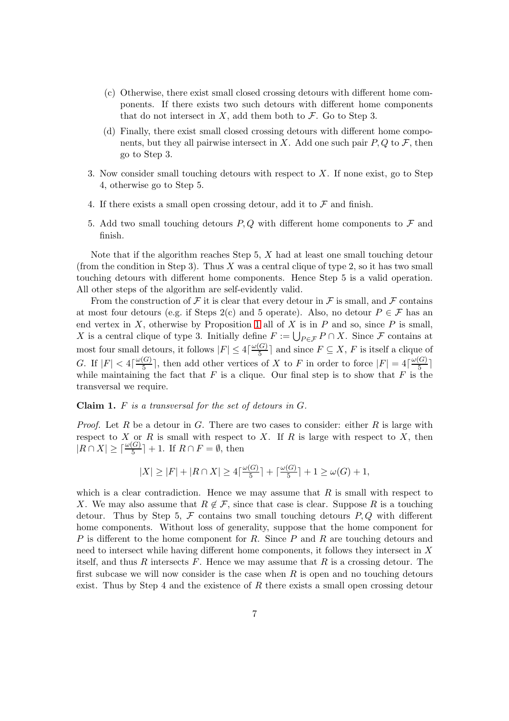- (c) Otherwise, there exist small closed crossing detours with different home components. If there exists two such detours with different home components that do not intersect in  $X$ , add them both to  $\mathcal{F}$ . Go to Step 3.
- (d) Finally, there exist small closed crossing detours with different home components, but they all pairwise intersect in X. Add one such pair  $P, Q$  to  $\mathcal{F}$ , then go to Step 3.
- 3. Now consider small touching detours with respect to  $X$ . If none exist, go to Step 4, otherwise go to Step 5.
- 4. If there exists a small open crossing detour, add it to  $\mathcal F$  and finish.
- 5. Add two small touching detours  $P, Q$  with different home components to  $\mathcal F$  and finish.

Note that if the algorithm reaches Step  $5$ ,  $X$  had at least one small touching detour (from the condition in Step 3). Thus X was a central clique of type 2, so it has two small touching detours with different home components. Hence Step 5 is a valid operation. All other steps of the algorithm are self-evidently valid.

From the construction of F it is clear that every detour in F is small, and F contains at most four detours (e.g. if Steps 2(c) and 5 operate). Also, no detour  $P \in \mathcal{F}$  has an end vertex in  $X$ , otherwise by Proposition [1](#page-2-1) all of  $X$  is in  $P$  and so, since  $P$  is small, X is a central clique of type 3. Initially define  $F := \bigcup_{P \in \mathcal{F}} P \cap X$ . Since F contains at most four small detours, it follows  $|F| \leq 4 \lceil \frac{\omega(G)}{5} \rceil$  $\frac{[G]}{5}$  and since  $F \subseteq X, F$  is itself a clique of G. If  $|F| < 4\lceil \frac{\omega(G)}{5} \rceil$  $\frac{G(G)}{5}$ , then add other vertices of X to F in order to force  $|F| = 4\lceil \frac{\omega(G)}{5} \rceil$  $\frac{1}{5}$ while maintaining the fact that  $F$  is a clique. Our final step is to show that  $F$  is the transversal we require.

Claim 1. F *is a transversal for the set of detours in* G*.*

*Proof.* Let R be a detour in G. There are two cases to consider: either R is large with respect to X or R is small with respect to X. If R is large with respect to X, then  $|R \cap X| \geq \lceil \frac{\omega(G)}{5} \rceil + 1$ . If  $R \cap F = \emptyset$ , then

$$
|X|\geq |F|+|R\cap X|\geq 4\lceil\tfrac{\omega(G)}{5}\rceil+\lceil\tfrac{\omega(G)}{5}\rceil+1\geq \omega(G)+1,
$$

which is a clear contradiction. Hence we may assume that  $R$  is small with respect to X. We may also assume that  $R \notin \mathcal{F}$ , since that case is clear. Suppose R is a touching detour. Thus by Step 5,  $\mathcal F$  contains two small touching detours  $P, Q$  with different home components. Without loss of generality, suppose that the home component for P is different to the home component for R. Since P and R are touching detours and need to intersect while having different home components, it follows they intersect in X itself, and thus R intersects F. Hence we may assume that R is a crossing detour. The first subcase we will now consider is the case when  $R$  is open and no touching detours exist. Thus by Step 4 and the existence of  $R$  there exists a small open crossing detour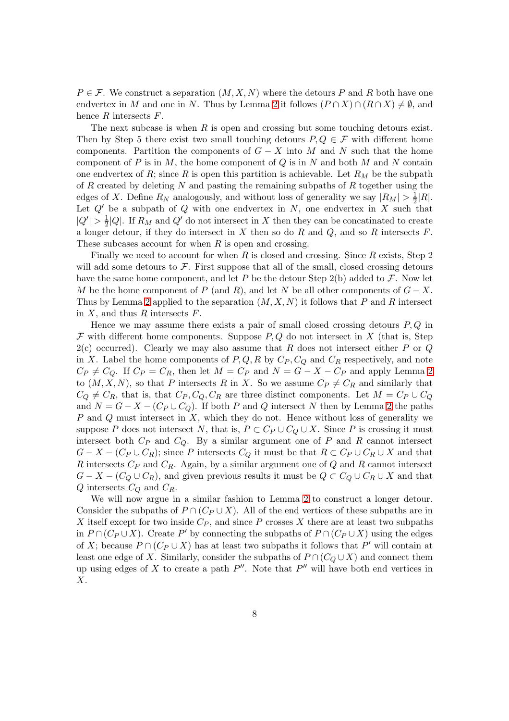$P \in \mathcal{F}$ . We construct a separation  $(M, X, N)$  where the detours P and R both have one endvertex in M and one in N. Thus by Lemma [2](#page-3-0) it follows  $(P \cap X) \cap (R \cap X) \neq \emptyset$ , and hence  $R$  intersects  $F$ .

The next subcase is when  $R$  is open and crossing but some touching detours exist. Then by Step 5 there exist two small touching detours  $P, Q \in \mathcal{F}$  with different home components. Partition the components of  $G - X$  into M and N such that the home component of  $P$  is in  $M$ , the home component of  $Q$  is in  $N$  and both  $M$  and  $N$  contain one endvertex of R; since R is open this partition is achievable. Let  $R_M$  be the subpath of  $R$  created by deleting  $N$  and pasting the remaining subpaths of  $R$  together using the edges of X. Define  $R_N$  analogously, and without loss of generality we say  $|R_M| > \frac{1}{2}|R|$ . Let  $Q'$  be a subpath of  $Q$  with one endvertex in  $N$ , one endvertex in  $X$  such that  $|Q'| > \frac{1}{2}$  $\frac{1}{2}|Q|$ . If  $R_M$  and  $Q'$  do not intersect in X then they can be concatinated to create a longer detour, if they do intersect in X then so do R and Q, and so R intersects  $F$ . These subcases account for when  $R$  is open and crossing.

Finally we need to account for when  $R$  is closed and crossing. Since  $R$  exists, Step 2 will add some detours to  $\mathcal F$ . First suppose that all of the small, closed crossing detours have the same home component, and let P be the detour Step 2(b) added to  $\mathcal{F}$ . Now let M be the home component of P (and R), and let N be all other components of  $G - X$ . Thus by Lemma [2](#page-3-0) applied to the separation  $(M, X, N)$  it follows that P and R intersect in  $X$ , and thus  $R$  intersects  $F$ .

Hence we may assume there exists a pair of small closed crossing detours  $P, Q$  in  $\mathcal F$  with different home components. Suppose  $P, Q$  do not intersect in X (that is, Step  $2(c)$  occurred). Clearly we may also assume that R does not intersect either P or Q in X. Label the home components of  $P, Q, R$  by  $C_P, C_Q$  and  $C_R$  respectively, and note  $C_P \neq C_Q$ . If  $C_P = C_R$ , then let  $M = C_P$  and  $N = G - X - C_P$  and apply Lemma [2](#page-3-0) to  $(M, X, N)$ , so that P intersects R in X. So we assume  $C_P \neq C_R$  and similarly that  $C_Q \neq C_R$ , that is, that  $C_P$ ,  $C_Q$ ,  $C_R$  are three distinct components. Let  $M = C_P \cup C_Q$ and  $N = G - X - (C_P \cup C_Q)$ . If both P and Q intersect N then by Lemma [2](#page-3-0) the paths  $P$  and  $Q$  must intersect in  $X$ , which they do not. Hence without loss of generality we suppose P does not intersect N, that is,  $P \subset C_P \cup C_Q \cup X$ . Since P is crossing it must intersect both  $C_P$  and  $C_Q$ . By a similar argument one of  $P$  and  $R$  cannot intersect  $G - X - (C_P \cup C_R)$ ; since P intersects  $C_Q$  it must be that  $R \subset C_P \cup C_R \cup X$  and that R intersects  $C_P$  and  $C_R$ . Again, by a similar argument one of Q and R cannot intersect  $G - X - (C_Q \cup C_R)$ , and given previous results it must be  $Q \subset C_Q \cup C_R \cup X$  and that  $Q$  intersects  $C_Q$  and  $C_R$ .

We will now argue in a similar fashion to Lemma [2](#page-3-0) to construct a longer detour. Consider the subpaths of  $P \cap (C_P \cup X)$ . All of the end vertices of these subpaths are in X itself except for two inside  $C_P$ , and since P crosses X there are at least two subpaths in  $P \cap (C_P \cup X)$ . Create P' by connecting the subpaths of  $P \cap (C_P \cup X)$  using the edges of X; because  $P \cap (C_P \cup X)$  has at least two subpaths it follows that  $P'$  will contain at least one edge of X. Similarly, consider the subpaths of  $P \cap (C_Q \cup X)$  and connect them up using edges of X to create a path  $P''$ . Note that  $P''$  will have both end vertices in  $X$ .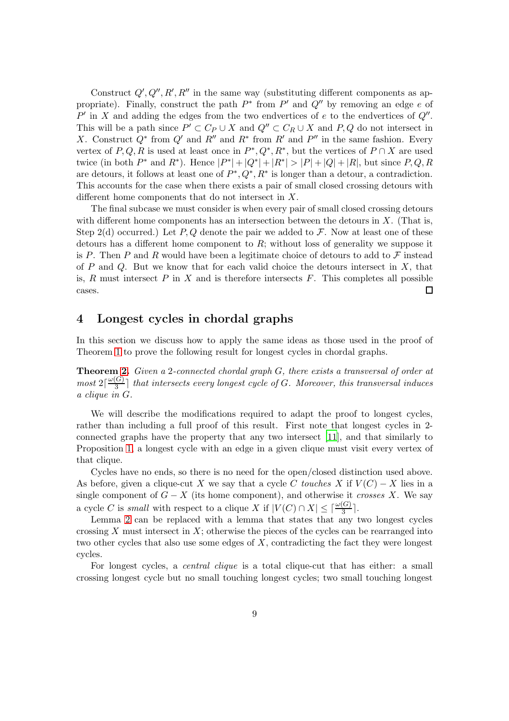Construct  $Q', Q'', R', R''$  in the same way (substituting different components as appropriate). Finally, construct the path  $P^*$  from  $P'$  and  $Q''$  by removing an edge e of  $P'$  in X and adding the edges from the two endvertices of  $e$  to the endvertices of  $Q''$ . This will be a path since  $P' \subset C_P \cup X$  and  $Q'' \subset C_R \cup X$  and  $P, Q$  do not intersect in X. Construct  $Q^*$  from  $Q'$  and  $R''$  and  $R^*$  from  $R'$  and  $P''$  in the same fashion. Every vertex of  $P, Q, R$  is used at least once in  $P^*, Q^*, R^*$ , but the vertices of  $P \cap X$  are used twice (in both  $P^*$  and  $R^*$ ). Hence  $|P^*| + |Q^*| + |R^*| > |P| + |Q| + |R|$ , but since  $P, Q, R$ are detours, it follows at least one of  $P^*, Q^*, R^*$  is longer than a detour, a contradiction. This accounts for the case when there exists a pair of small closed crossing detours with different home components that do not intersect in X.

The final subcase we must consider is when every pair of small closed crossing detours with different home components has an intersection between the detours in  $X$ . (That is, Step 2(d) occurred.) Let P, Q denote the pair we added to F. Now at least one of these detours has a different home component to  $R$ ; without loss of generality we suppose it is P. Then P and R would have been a legitimate choice of detours to add to  $\mathcal F$  instead of P and Q. But we know that for each valid choice the detours intersect in  $X$ , that is, R must intersect  $P$  in X and is therefore intersects  $F$ . This completes all possible cases.  $\Box$ 

#### 4 Longest cycles in chordal graphs

In this section we discuss how to apply the same ideas as those used in the proof of Theorem [1](#page-1-0) to prove the following result for longest cycles in chordal graphs.

Theorem [2.](#page-1-1) *Given a* 2*-connected chordal graph* G*, there exists a transversal of order at*  $most 2\lceil \frac{\omega(G)}{3} \rceil$ 3 ⌉ *that intersects every longest cycle of* G*. Moreover, this transversal induces a clique in* G*.*

We will describe the modifications required to adapt the proof to longest cycles, rather than including a full proof of this result. First note that longest cycles in 2 connected graphs have the property that any two intersect [\[11\]](#page-10-13), and that similarly to Proposition [1,](#page-2-1) a longest cycle with an edge in a given clique must visit every vertex of that clique.

Cycles have no ends, so there is no need for the open/closed distinction used above. As before, given a clique-cut X we say that a cycle C *touches* X if  $V(C) - X$  lies in a single component of  $G - X$  (its home component), and otherwise it *crosses* X. We say a cycle C is *small* with respect to a clique X if  $|V(C) \cap X| \leq \lceil \frac{\omega(G)}{3} \rceil$ .

Lemma [2](#page-3-0) can be replaced with a lemma that states that any two longest cycles crossing X must intersect in X; otherwise the pieces of the cycles can be rearranged into two other cycles that also use some edges of  $X$ , contradicting the fact they were longest cycles.

For longest cycles, a *central clique* is a total clique-cut that has either: a small crossing longest cycle but no small touching longest cycles; two small touching longest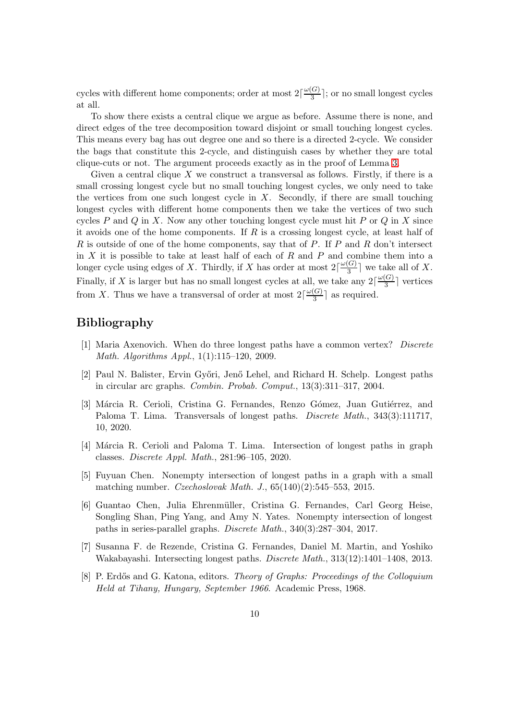cycles with different home components; order at most  $2\lceil \frac{\omega(G)}{3} \rceil$  $\frac{(G)}{3}$ ; or no small longest cycles at all.

To show there exists a central clique we argue as before. Assume there is none, and direct edges of the tree decomposition toward disjoint or small touching longest cycles. This means every bag has out degree one and so there is a directed 2-cycle. We consider the bags that constitute this 2-cycle, and distinguish cases by whether they are total clique-cuts or not. The argument proceeds exactly as in the proof of Lemma [3.](#page-4-0)

Given a central clique  $X$  we construct a transversal as follows. Firstly, if there is a small crossing longest cycle but no small touching longest cycles, we only need to take the vertices from one such longest cycle in  $X$ . Secondly, if there are small touching longest cycles with different home components then we take the vertices of two such cycles P and Q in X. Now any other touching longest cycle must hit P or Q in X since it avoids one of the home components. If  $R$  is a crossing longest cycle, at least half of  $R$  is outside of one of the home components, say that of  $P$ . If  $P$  and  $R$  don't intersect in  $X$  it is possible to take at least half of each of  $R$  and  $P$  and combine them into a longer cycle using edges of X. Thirdly, if X has order at most  $2\lceil \frac{\omega(G)}{3} \rceil$  $\frac{G}{3}$  we take all of X. Finally, if X is larger but has no small longest cycles at all, we take any  $2\lceil \frac{\omega(G)}{3} \rceil$  $\frac{\sigma}{3}$  vertices from X. Thus we have a transversal of order at most  $2\lceil \frac{\omega(G)}{3} \rceil$  $\frac{(\mathbf{G})}{3}$  as required.

## Bibliography

- <span id="page-9-2"></span>[1] Maria Axenovich. When do three longest paths have a common vertex? *Discrete Math. Algorithms Appl.*, 1(1):115–120, 2009.
- <span id="page-9-1"></span>[2] Paul N. Balister, Ervin Gy˝ori, Jen˝o Lehel, and Richard H. Schelp. Longest paths in circular arc graphs. *Combin. Probab. Comput.*, 13(3):311–317, 2004.
- <span id="page-9-7"></span>[3] Márcia R. Cerioli, Cristina G. Fernandes, Renzo Gómez, Juan Gutiérrez, and Paloma T. Lima. Transversals of longest paths. *Discrete Math.*, 343(3):111717, 10, 2020.
- <span id="page-9-5"></span>[4] Márcia R. Cerioli and Paloma T. Lima. Intersection of longest paths in graph classes. *Discrete Appl. Math.*, 281:96–105, 2020.
- <span id="page-9-6"></span>[5] Fuyuan Chen. Nonempty intersection of longest paths in a graph with a small matching number. *Czechoslovak Math. J.*, 65(140)(2):545–553, 2015.
- <span id="page-9-4"></span>[6] Guantao Chen, Julia Ehrenm¨uller, Cristina G. Fernandes, Carl Georg Heise, Songling Shan, Ping Yang, and Amy N. Yates. Nonempty intersection of longest paths in series-parallel graphs. *Discrete Math.*, 340(3):287–304, 2017.
- <span id="page-9-3"></span>[7] Susanna F. de Rezende, Cristina G. Fernandes, Daniel M. Martin, and Yoshiko Wakabayashi. Intersecting longest paths. *Discrete Math.*, 313(12):1401–1408, 2013.
- <span id="page-9-0"></span>[8] P. Erd˝os and G. Katona, editors. *Theory of Graphs: Proceedings of the Colloquium Held at Tihany, Hungary, September 1966*. Academic Press, 1968.